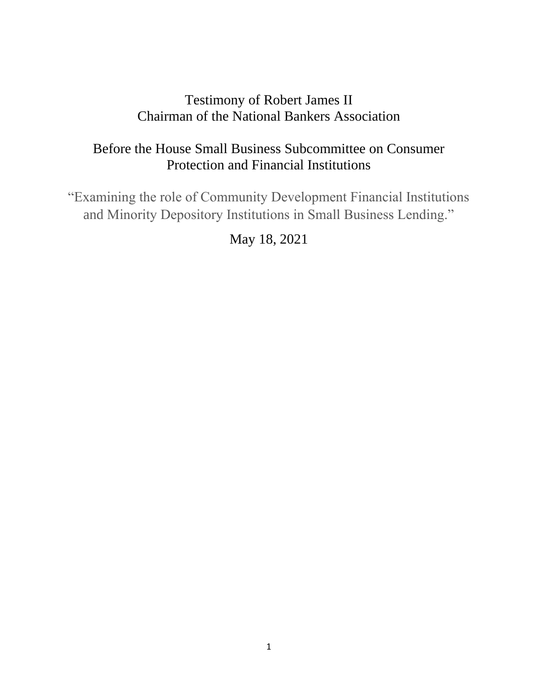## Testimony of Robert James II Chairman of the National Bankers Association

# Before the House Small Business Subcommittee on Consumer Protection and Financial Institutions

"Examining the role of Community Development Financial Institutions and Minority Depository Institutions in Small Business Lending."

May 18, 2021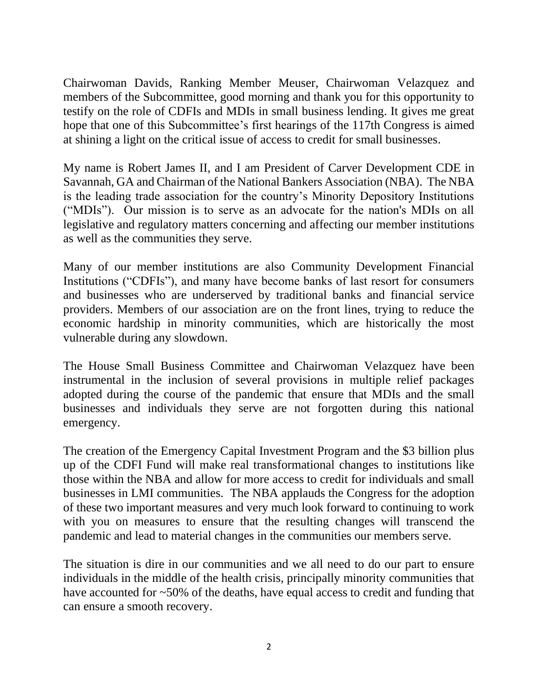Chairwoman Davids, Ranking Member Meuser, Chairwoman Velazquez and members of the Subcommittee, good morning and thank you for this opportunity to testify on the role of CDFIs and MDIs in small business lending. It gives me great hope that one of this Subcommittee's first hearings of the 117th Congress is aimed at shining a light on the critical issue of access to credit for small businesses.

My name is Robert James II, and I am President of Carver Development CDE in Savannah, GA and Chairman of the National Bankers Association (NBA). The NBA is the leading trade association for the country's Minority Depository Institutions ("MDIs"). Our mission is to serve as an advocate for the nation's MDIs on all legislative and regulatory matters concerning and affecting our member institutions as well as the communities they serve.

Many of our member institutions are also Community Development Financial Institutions ("CDFIs"), and many have become banks of last resort for consumers and businesses who are underserved by traditional banks and financial service providers. Members of our association are on the front lines, trying to reduce the economic hardship in minority communities, which are historically the most vulnerable during any slowdown.

The House Small Business Committee and Chairwoman Velazquez have been instrumental in the inclusion of several provisions in multiple relief packages adopted during the course of the pandemic that ensure that MDIs and the small businesses and individuals they serve are not forgotten during this national emergency.

The creation of the Emergency Capital Investment Program and the \$3 billion plus up of the CDFI Fund will make real transformational changes to institutions like those within the NBA and allow for more access to credit for individuals and small businesses in LMI communities. The NBA applauds the Congress for the adoption of these two important measures and very much look forward to continuing to work with you on measures to ensure that the resulting changes will transcend the pandemic and lead to material changes in the communities our members serve.

The situation is dire in our communities and we all need to do our part to ensure individuals in the middle of the health crisis, principally minority communities that have accounted for ~50% of the deaths, have equal access to credit and funding that can ensure a smooth recovery.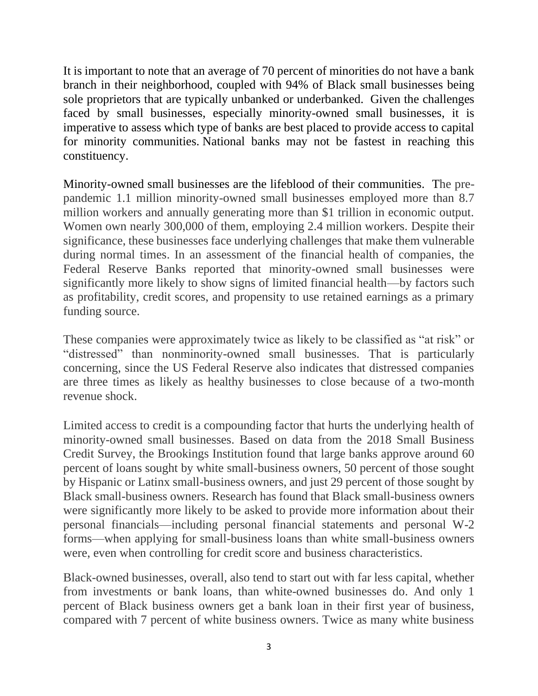It is important to note that an average of 70 percent of minorities do not have a bank branch in their neighborhood, coupled with 94% of Black small businesses being sole proprietors that are typically unbanked or underbanked. Given the challenges faced by small businesses, especially minority-owned small businesses, it is imperative to assess which type of banks are best placed to provide access to capital for minority communities. National banks may not be fastest in reaching this constituency.

Minority-owned small businesses are the lifeblood of their communities. The prepandemic 1.1 million minority-owned small businesses employed more than 8.7 million workers and annually generating more than \$1 trillion in economic output. Women own nearly 300,000 of them, employing 2.4 million workers. Despite their significance, these businesses face underlying challenges that make them vulnerable during normal times. In an assessment of the financial health of companies, the Federal Reserve Banks reported that minority-owned small businesses were significantly more likely to show signs of limited financial health—by factors such as profitability, credit scores, and propensity to use retained earnings as a primary funding source.

These companies were approximately twice as likely to be classified as "at risk" or "distressed" than nonminority-owned small businesses. That is particularly concerning, since the US Federal Reserve also indicates that distressed companies are three times as likely as healthy businesses to close because of a two-month revenue shock.

Limited access to credit is a compounding factor that hurts the underlying health of minority-owned small businesses. Based on data from the 2018 Small Business Credit Survey, the Brookings Institution found that large banks approve around 60 percent of loans sought by white small-business owners, 50 percent of those sought by Hispanic or Latinx small-business owners, and just 29 percent of those sought by Black small-business owners. Research has found that Black small-business owners were significantly more likely to be asked to provide more information about their personal financials—including personal financial statements and personal W-2 forms—when applying for small-business loans than white small-business owners were, even when controlling for credit score and business characteristics.

Black-owned businesses, overall, also tend to start out with far less capital, whether from investments or bank loans, than white-owned businesses do. And only 1 percent of Black business owners get a bank loan in their first year of business, compared with 7 percent of white business owners. Twice as many white business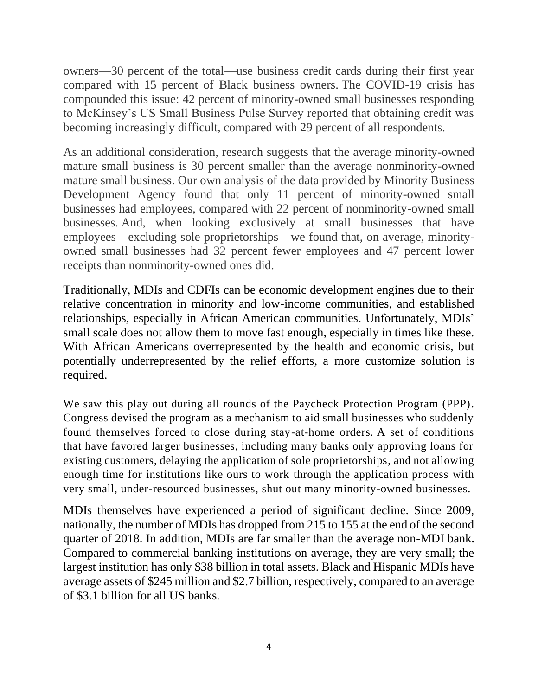owners—30 percent of the total—use business credit cards during their first year compared with 15 percent of Black business owners. The COVID-19 crisis has compounded this issue: 42 percent of minority-owned small businesses responding to McKinsey's US Small Business Pulse Survey reported that obtaining credit was becoming increasingly difficult, compared with 29 percent of all respondents.

As an additional consideration, research suggests that the average minority-owned mature small business is 30 percent smaller than the average nonminority-owned mature small business. Our own analysis of the data provided by Minority Business Development Agency found that only 11 percent of minority-owned small businesses had employees, compared with 22 percent of nonminority-owned small businesses. And, when looking exclusively at small businesses that have employees—excluding sole proprietorships—we found that, on average, minorityowned small businesses had 32 percent fewer employees and 47 percent lower receipts than nonminority-owned ones did.

Traditionally, MDIs and CDFIs can be economic development engines due to their relative concentration in minority and low-income communities, and established relationships, especially in African American communities. Unfortunately, MDIs' small scale does not allow them to move fast enough, especially in times like these. With African Americans overrepresented by the health and economic crisis, but potentially underrepresented by the relief efforts, a more customize solution is required.

We saw this play out during all rounds of the Paycheck Protection Program (PPP). Congress devised the program as a mechanism to aid small businesses who suddenly found themselves forced to close during stay-at-home orders. A set of conditions that have favored larger businesses, including many banks only approving loans for existing customers, delaying the application of sole proprietorships, and not allowing enough time for institutions like ours to work through the application process with very small, under-resourced businesses, shut out many minority-owned businesses.

MDIs themselves have experienced a period of significant decline. Since 2009, nationally, the number of MDIs has dropped from 215 to 155 at the end of the second quarter of 2018. In addition, MDIs are far smaller than the average non-MDI bank. Compared to commercial banking institutions on average, they are very small; the largest institution has only \$38 billion in total assets. Black and Hispanic MDIs have average assets of \$245 million and \$2.7 billion, respectively, compared to an average of \$3.1 billion for all US banks.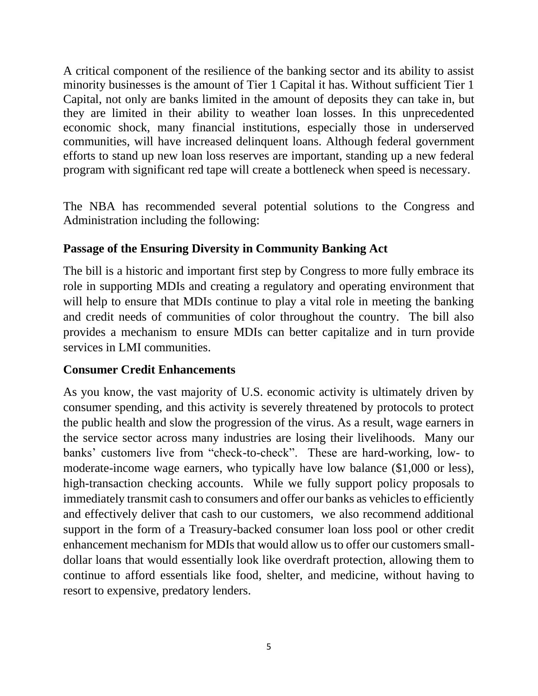A critical component of the resilience of the banking sector and its ability to assist minority businesses is the amount of Tier 1 Capital it has. Without sufficient Tier 1 Capital, not only are banks limited in the amount of deposits they can take in, but they are limited in their ability to weather loan losses. In this unprecedented economic shock, many financial institutions, especially those in underserved communities, will have increased delinquent loans. Although federal government efforts to stand up new loan loss reserves are important, standing up a new federal program with significant red tape will create a bottleneck when speed is necessary.

The NBA has recommended several potential solutions to the Congress and Administration including the following:

## **Passage of the Ensuring Diversity in Community Banking Act**

The bill is a historic and important first step by Congress to more fully embrace its role in supporting MDIs and creating a regulatory and operating environment that will help to ensure that MDIs continue to play a vital role in meeting the banking and credit needs of communities of color throughout the country. The bill also provides a mechanism to ensure MDIs can better capitalize and in turn provide services in LMI communities.

## **Consumer Credit Enhancements**

As you know, the vast majority of U.S. economic activity is ultimately driven by consumer spending, and this activity is severely threatened by protocols to protect the public health and slow the progression of the virus. As a result, wage earners in the service sector across many industries are losing their livelihoods. Many our banks' customers live from "check-to-check". These are hard-working, low- to moderate-income wage earners, who typically have low balance (\$1,000 or less), high-transaction checking accounts. While we fully support policy proposals to immediately transmit cash to consumers and offer our banks as vehicles to efficiently and effectively deliver that cash to our customers, we also recommend additional support in the form of a Treasury-backed consumer loan loss pool or other credit enhancement mechanism for MDIs that would allow us to offer our customers smalldollar loans that would essentially look like overdraft protection, allowing them to continue to afford essentials like food, shelter, and medicine, without having to resort to expensive, predatory lenders.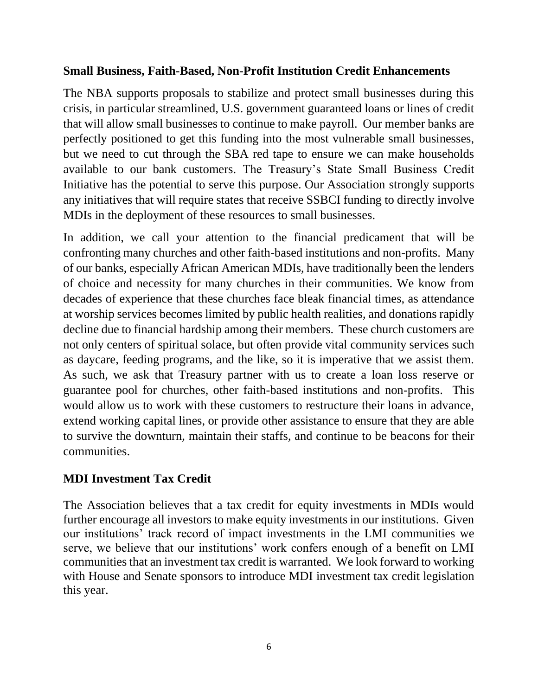### **Small Business, Faith-Based, Non-Profit Institution Credit Enhancements**

The NBA supports proposals to stabilize and protect small businesses during this crisis, in particular streamlined, U.S. government guaranteed loans or lines of credit that will allow small businesses to continue to make payroll. Our member banks are perfectly positioned to get this funding into the most vulnerable small businesses, but we need to cut through the SBA red tape to ensure we can make households available to our bank customers. The Treasury's State Small Business Credit Initiative has the potential to serve this purpose. Our Association strongly supports any initiatives that will require states that receive SSBCI funding to directly involve MDIs in the deployment of these resources to small businesses.

In addition, we call your attention to the financial predicament that will be confronting many churches and other faith-based institutions and non-profits. Many of our banks, especially African American MDIs, have traditionally been the lenders of choice and necessity for many churches in their communities. We know from decades of experience that these churches face bleak financial times, as attendance at worship services becomes limited by public health realities, and donations rapidly decline due to financial hardship among their members. These church customers are not only centers of spiritual solace, but often provide vital community services such as daycare, feeding programs, and the like, so it is imperative that we assist them. As such, we ask that Treasury partner with us to create a loan loss reserve or guarantee pool for churches, other faith-based institutions and non-profits. This would allow us to work with these customers to restructure their loans in advance, extend working capital lines, or provide other assistance to ensure that they are able to survive the downturn, maintain their staffs, and continue to be beacons for their communities.

### **MDI Investment Tax Credit**

The Association believes that a tax credit for equity investments in MDIs would further encourage all investors to make equity investments in our institutions. Given our institutions' track record of impact investments in the LMI communities we serve, we believe that our institutions' work confers enough of a benefit on LMI communities that an investment tax credit is warranted. We look forward to working with House and Senate sponsors to introduce MDI investment tax credit legislation this year.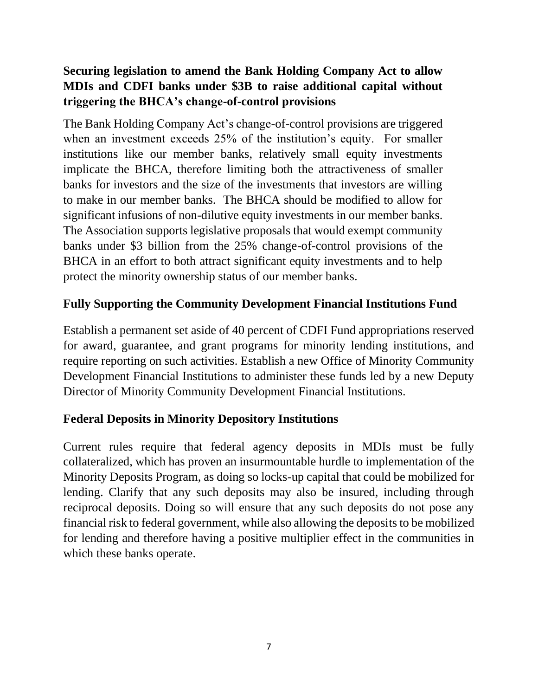## **Securing legislation to amend the Bank Holding Company Act to allow MDIs and CDFI banks under \$3B to raise additional capital without triggering the BHCA's change-of-control provisions**

The Bank Holding Company Act's change-of-control provisions are triggered when an investment exceeds 25% of the institution's equity. For smaller institutions like our member banks, relatively small equity investments implicate the BHCA, therefore limiting both the attractiveness of smaller banks for investors and the size of the investments that investors are willing to make in our member banks. The BHCA should be modified to allow for significant infusions of non-dilutive equity investments in our member banks. The Association supports legislative proposals that would exempt community banks under \$3 billion from the 25% change-of-control provisions of the BHCA in an effort to both attract significant equity investments and to help protect the minority ownership status of our member banks.

## **Fully Supporting the Community Development Financial Institutions Fund**

Establish a permanent set aside of 40 percent of CDFI Fund appropriations reserved for award, guarantee, and grant programs for minority lending institutions, and require reporting on such activities. Establish a new Office of Minority Community Development Financial Institutions to administer these funds led by a new Deputy Director of Minority Community Development Financial Institutions.

## **Federal Deposits in Minority Depository Institutions**

Current rules require that federal agency deposits in MDIs must be fully collateralized, which has proven an insurmountable hurdle to implementation of the Minority Deposits Program, as doing so locks-up capital that could be mobilized for lending. Clarify that any such deposits may also be insured, including through reciprocal deposits. Doing so will ensure that any such deposits do not pose any financial risk to federal government, while also allowing the deposits to be mobilized for lending and therefore having a positive multiplier effect in the communities in which these banks operate.